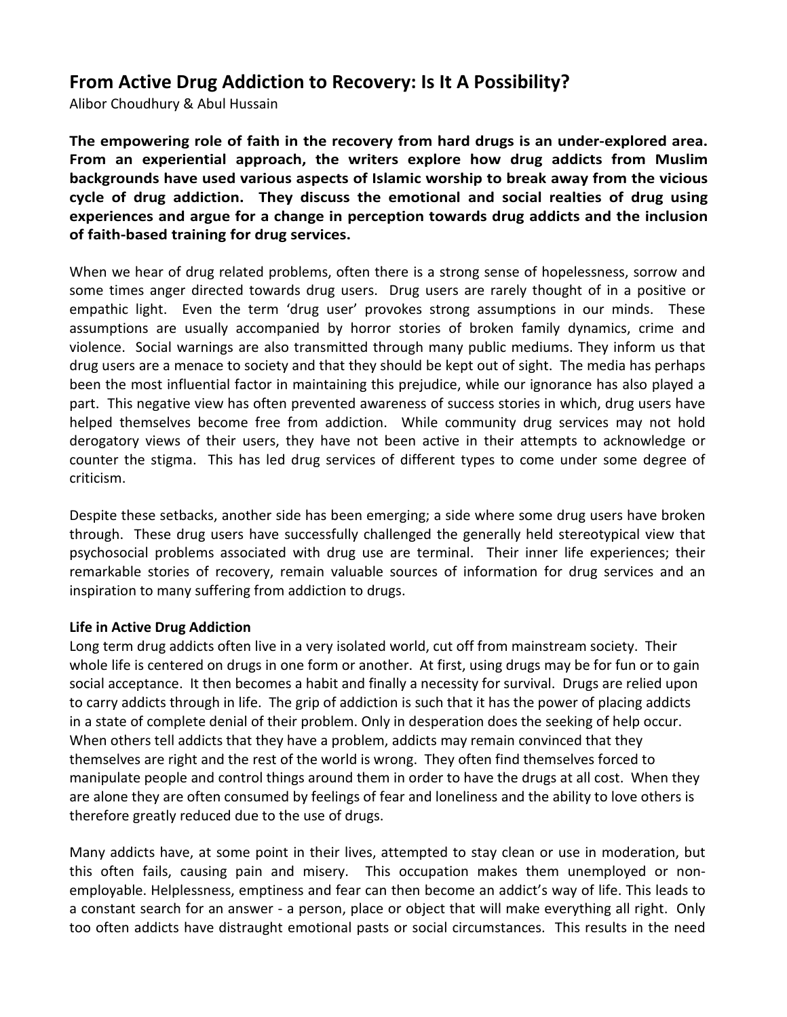# From Active Drug Addiction to Recovery: Is It A Possibility?

Alibor Choudhury & Abul Hussain

The empowering role of faith in the recovery from hard drugs is an under-explored area. From an experiential approach, the writers explore how drug addicts from Muslim backgrounds have used various aspects of Islamic worship to break away from the vicious cycle of drug addiction. They discuss the emotional and social realties of drug using experiences and argue for a change in perception towards drug addicts and the inclusion of faith-based training for drug services.

When we hear of drug related problems, often there is a strong sense of hopelessness, sorrow and some times anger directed towards drug users. Drug users are rarely thought of in a positive or empathic light. Even the term 'drug user' provokes strong assumptions in our minds. These assumptions are usually accompanied by horror stories of broken family dynamics, crime and violence. Social warnings are also transmitted through many public mediums. They inform us that drug users are a menace to society and that they should be kept out of sight. The media has perhaps been the most influential factor in maintaining this prejudice, while our ignorance has also played a part. This negative view has often prevented awareness of success stories in which, drug users have helped themselves become free from addiction. While community drug services may not hold derogatory views of their users, they have not been active in their attempts to acknowledge or counter the stigma. This has led drug services of different types to come under some degree of criticism.

Despite these setbacks, another side has been emerging; a side where some drug users have broken through. These drug users have successfully challenged the generally held stereotypical view that psychosocial problems associated with drug use are terminal. Their inner life experiences; their remarkable stories of recovery, remain valuable sources of information for drug services and an inspiration to many suffering from addiction to drugs.

# Life in Active Drug Addiction

Long term drug addicts often live in a very isolated world, cut off from mainstream society. Their whole life is centered on drugs in one form or another. At first, using drugs may be for fun or to gain social acceptance. It then becomes a habit and finally a necessity for survival. Drugs are relied upon to carry addicts through in life. The grip of addiction is such that it has the power of placing addicts in a state of complete denial of their problem. Only in desperation does the seeking of help occur. When others tell addicts that they have a problem, addicts may remain convinced that they themselves are right and the rest of the world is wrong. They often find themselves forced to manipulate people and control things around them in order to have the drugs at all cost. When they are alone they are often consumed by feelings of fear and loneliness and the ability to love others is therefore greatly reduced due to the use of drugs.

Many addicts have, at some point in their lives, attempted to stay clean or use in moderation, but this often fails, causing pain and misery. This occupation makes them unemployed or nonemployable. Helplessness, emptiness and fear can then become an addict's way of life. This leads to a constant search for an answer - a person, place or object that will make everything all right. Only too often addicts have distraught emotional pasts or social circumstances. This results in the need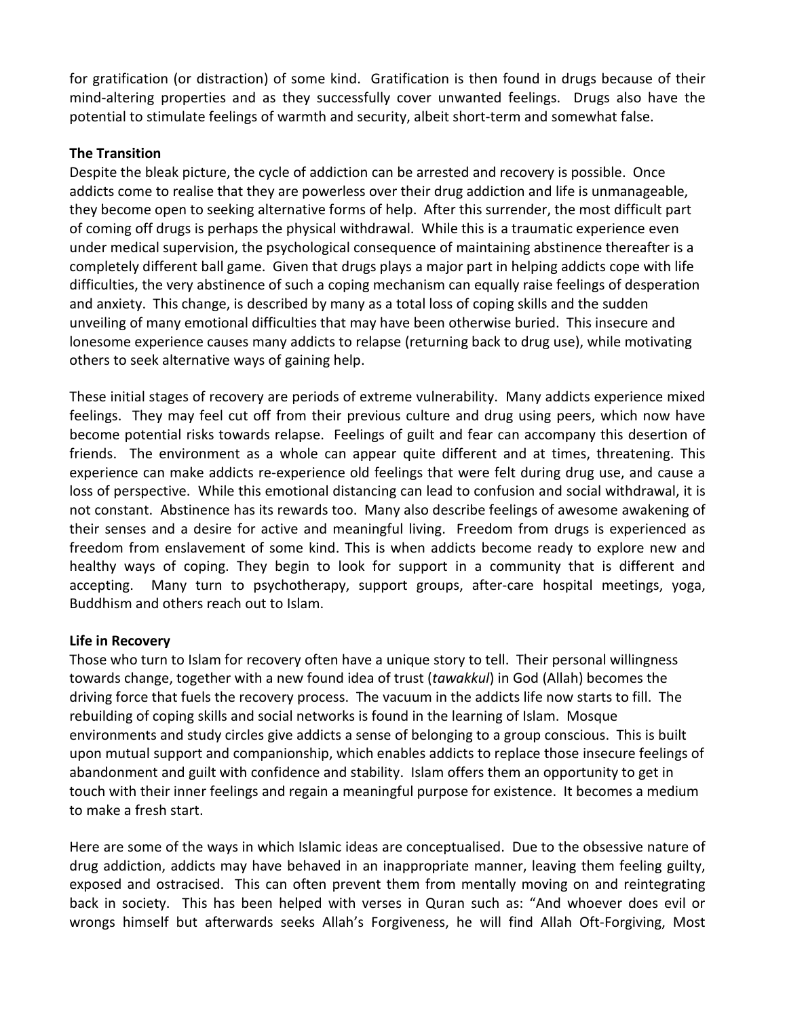for gratification (or distraction) of some kind. Gratification is then found in drugs because of their mind-altering properties and as they successfully cover unwanted feelings. Drugs also have the potential to stimulate feelings of warmth and security, albeit short-term and somewhat false.

# The Transition

Despite the bleak picture, the cycle of addiction can be arrested and recovery is possible. Once addicts come to realise that they are powerless over their drug addiction and life is unmanageable, they become open to seeking alternative forms of help. After this surrender, the most difficult part of coming off drugs is perhaps the physical withdrawal. While this is a traumatic experience even under medical supervision, the psychological consequence of maintaining abstinence thereafter is a completely different ball game. Given that drugs plays a major part in helping addicts cope with life difficulties, the very abstinence of such a coping mechanism can equally raise feelings of desperation and anxiety. This change, is described by many as a total loss of coping skills and the sudden unveiling of many emotional difficulties that may have been otherwise buried. This insecure and lonesome experience causes many addicts to relapse (returning back to drug use), while motivating others to seek alternative ways of gaining help.

These initial stages of recovery are periods of extreme vulnerability. Many addicts experience mixed feelings. They may feel cut off from their previous culture and drug using peers, which now have become potential risks towards relapse. Feelings of guilt and fear can accompany this desertion of friends. The environment as a whole can appear quite different and at times, threatening. This experience can make addicts re-experience old feelings that were felt during drug use, and cause a loss of perspective. While this emotional distancing can lead to confusion and social withdrawal, it is not constant. Abstinence has its rewards too. Many also describe feelings of awesome awakening of their senses and a desire for active and meaningful living. Freedom from drugs is experienced as freedom from enslavement of some kind. This is when addicts become ready to explore new and healthy ways of coping. They begin to look for support in a community that is different and accepting. Many turn to psychotherapy, support groups, after-care hospital meetings, yoga, Buddhism and others reach out to Islam.

# Life in Recovery

Those who turn to Islam for recovery often have a unique story to tell. Their personal willingness towards change, together with a new found idea of trust (tawakkul) in God (Allah) becomes the driving force that fuels the recovery process. The vacuum in the addicts life now starts to fill. The rebuilding of coping skills and social networks is found in the learning of Islam. Mosque environments and study circles give addicts a sense of belonging to a group conscious. This is built upon mutual support and companionship, which enables addicts to replace those insecure feelings of abandonment and guilt with confidence and stability. Islam offers them an opportunity to get in touch with their inner feelings and regain a meaningful purpose for existence. It becomes a medium to make a fresh start.

Here are some of the ways in which Islamic ideas are conceptualised. Due to the obsessive nature of drug addiction, addicts may have behaved in an inappropriate manner, leaving them feeling guilty, exposed and ostracised. This can often prevent them from mentally moving on and reintegrating back in society. This has been helped with verses in Quran such as: "And whoever does evil or wrongs himself but afterwards seeks Allah's Forgiveness, he will find Allah Oft-Forgiving, Most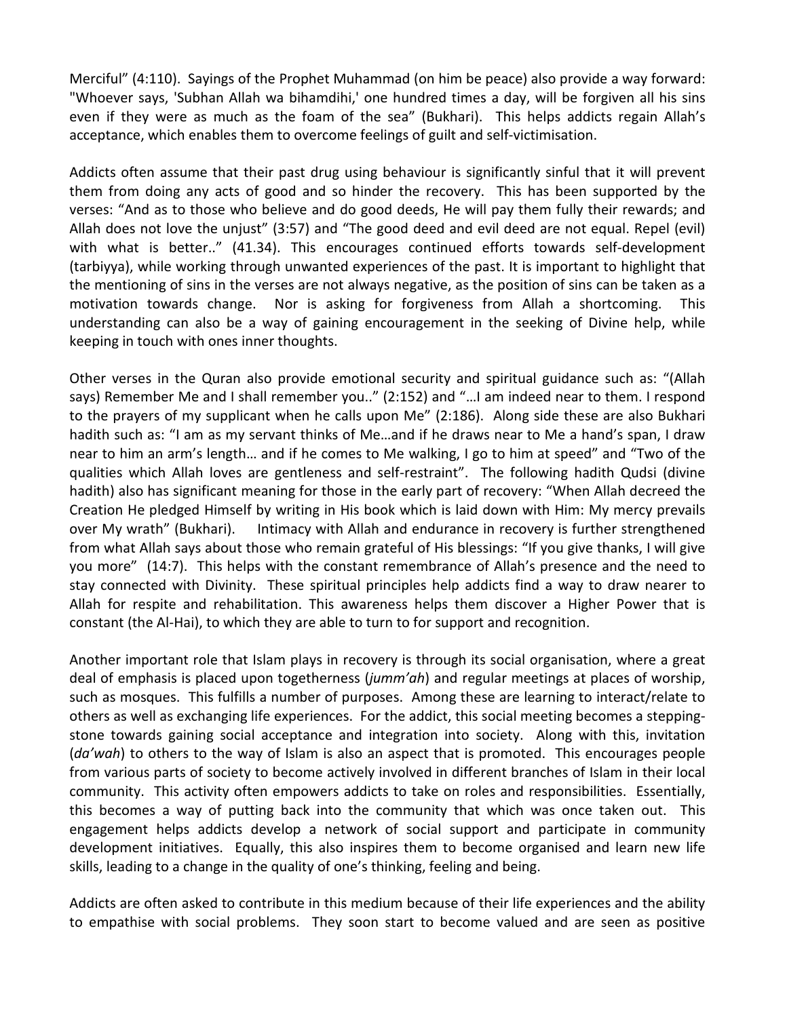Merciful" (4:110). Sayings of the Prophet Muhammad (on him be peace) also provide a way forward: "Whoever says, 'Subhan Allah wa bihamdihi,' one hundred times a day, will be forgiven all his sins even if they were as much as the foam of the sea" (Bukhari). This helps addicts regain Allah's acceptance, which enables them to overcome feelings of guilt and self-victimisation.

Addicts often assume that their past drug using behaviour is significantly sinful that it will prevent them from doing any acts of good and so hinder the recovery. This has been supported by the verses: "And as to those who believe and do good deeds, He will pay them fully their rewards; and Allah does not love the unjust" (3:57) and "The good deed and evil deed are not equal. Repel (evil) with what is better.." (41.34). This encourages continued efforts towards self-development (tarbiyya), while working through unwanted experiences of the past. It is important to highlight that the mentioning of sins in the verses are not always negative, as the position of sins can be taken as a motivation towards change. Nor is asking for forgiveness from Allah a shortcoming. This understanding can also be a way of gaining encouragement in the seeking of Divine help, while keeping in touch with ones inner thoughts.

Other verses in the Quran also provide emotional security and spiritual guidance such as: "(Allah says) Remember Me and I shall remember you.." (2:152) and "…I am indeed near to them. I respond to the prayers of my supplicant when he calls upon Me" (2:186). Along side these are also Bukhari hadith such as: "I am as my servant thinks of Me…and if he draws near to Me a hand's span, I draw near to him an arm's length… and if he comes to Me walking, I go to him at speed" and "Two of the qualities which Allah loves are gentleness and self-restraint". The following hadith Qudsi (divine hadith) also has significant meaning for those in the early part of recovery: "When Allah decreed the Creation He pledged Himself by writing in His book which is laid down with Him: My mercy prevails over My wrath" (Bukhari). Intimacy with Allah and endurance in recovery is further strengthened from what Allah says about those who remain grateful of His blessings: "If you give thanks, I will give you more" (14:7). This helps with the constant remembrance of Allah's presence and the need to stay connected with Divinity. These spiritual principles help addicts find a way to draw nearer to Allah for respite and rehabilitation. This awareness helps them discover a Higher Power that is constant (the Al-Hai), to which they are able to turn to for support and recognition.

Another important role that Islam plays in recovery is through its social organisation, where a great deal of emphasis is placed upon togetherness (jumm'ah) and regular meetings at places of worship, such as mosques. This fulfills a number of purposes. Among these are learning to interact/relate to others as well as exchanging life experiences. For the addict, this social meeting becomes a steppingstone towards gaining social acceptance and integration into society. Along with this, invitation (da'wah) to others to the way of Islam is also an aspect that is promoted. This encourages people from various parts of society to become actively involved in different branches of Islam in their local community. This activity often empowers addicts to take on roles and responsibilities. Essentially, this becomes a way of putting back into the community that which was once taken out. This engagement helps addicts develop a network of social support and participate in community development initiatives. Equally, this also inspires them to become organised and learn new life skills, leading to a change in the quality of one's thinking, feeling and being.

Addicts are often asked to contribute in this medium because of their life experiences and the ability to empathise with social problems. They soon start to become valued and are seen as positive